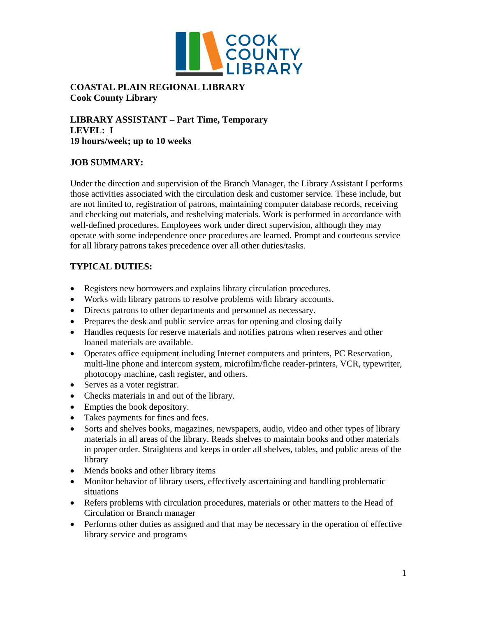

### **COASTAL PLAIN REGIONAL LIBRARY Cook County Library**

**LIBRARY ASSISTANT – Part Time, Temporary LEVEL: I 19 hours/week; up to 10 weeks** 

### **JOB SUMMARY:**

Under the direction and supervision of the Branch Manager, the Library Assistant I performs those activities associated with the circulation desk and customer service. These include, but are not limited to, registration of patrons, maintaining computer database records, receiving and checking out materials, and reshelving materials. Work is performed in accordance with well-defined procedures. Employees work under direct supervision, although they may operate with some independence once procedures are learned. Prompt and courteous service for all library patrons takes precedence over all other duties/tasks.

# **TYPICAL DUTIES:**

- Registers new borrowers and explains library circulation procedures.
- Works with library patrons to resolve problems with library accounts.
- Directs patrons to other departments and personnel as necessary.
- Prepares the desk and public service areas for opening and closing daily
- Handles requests for reserve materials and notifies patrons when reserves and other loaned materials are available.
- Operates office equipment including Internet computers and printers, PC Reservation, multi-line phone and intercom system, microfilm/fiche reader-printers, VCR, typewriter, photocopy machine, cash register, and others.
- Serves as a voter registrar.
- Checks materials in and out of the library.
- Empties the book depository.
- Takes payments for fines and fees.
- Sorts and shelves books, magazines, newspapers, audio, video and other types of library materials in all areas of the library. Reads shelves to maintain books and other materials in proper order. Straightens and keeps in order all shelves, tables, and public areas of the library
- Mends books and other library items
- Monitor behavior of library users, effectively ascertaining and handling problematic situations
- Refers problems with circulation procedures, materials or other matters to the Head of Circulation or Branch manager
- Performs other duties as assigned and that may be necessary in the operation of effective library service and programs